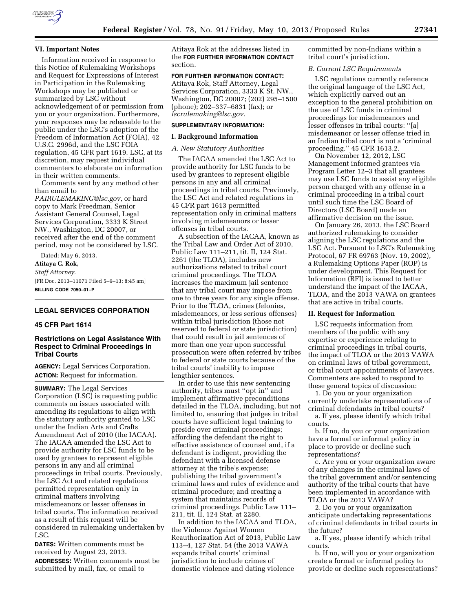

### **VI. Important Notes**

Information received in response to this Notice of Rulemaking Workshops and Request for Expressions of Interest in Participation in the Rulemaking Workshops may be published or summarized by LSC without acknowledgement of or permission from you or your organization. Furthermore, your responses may be releasable to the public under the LSC's adoption of the Freedom of Information Act (FOIA), 42 U.S.C. 2996d, and the LSC FOIA regulation, 45 CFR part 1619. LSC, at its discretion, may request individual commenters to elaborate on information in their written comments.

Comments sent by any method other than email to

*[PAIRULEMAKING@lsc.gov,](mailto:PAIRULEMAKING@lsc.gov)* or hard copy to Mark Freedman, Senior Assistant General Counsel, Legal Services Corporation, 3333 K Street NW., Washington, DC 20007, or received after the end of the comment period, may not be considered by LSC.

Dated: May 6, 2013.

**Atitaya C. Rok,** 

*Staff Attorney.*  [FR Doc. 2013–11071 Filed 5–9–13; 8:45 am] **BILLING CODE 7050–01–P** 

# **LEGAL SERVICES CORPORATION**

### **45 CFR Part 1614**

### **Restrictions on Legal Assistance With Respect to Criminal Proceedings in Tribal Courts**

**AGENCY:** Legal Services Corporation. **ACTION:** Request for information.

**SUMMARY:** The Legal Services Corporation (LSC) is requesting public comments on issues associated with amending its regulations to align with the statutory authority granted to LSC under the Indian Arts and Crafts Amendment Act of 2010 (the IACAA). The IACAA amended the LSC Act to provide authority for LSC funds to be used by grantees to represent eligible persons in any and all criminal proceedings in tribal courts. Previously, the LSC Act and related regulations permitted representation only in criminal matters involving misdemeanors or lesser offenses in tribal courts. The information received as a result of this request will be considered in rulemaking undertaken by LSC.

**DATES:** Written comments must be received by August 23, 2013. **ADDRESSES:** Written comments must be submitted by mail, fax, or email to

Atitaya Rok at the addresses listed in the **FOR FURTHER INFORMATION CONTACT** section.

### **FOR FURTHER INFORMATION CONTACT:**

Atitaya Rok, Staff Attorney, Legal Services Corporation, 3333 K St. NW., Washington, DC 20007; (202) 295–1500 (phone); 202–337–6831 (fax); or *[lscrulemaking@lsc.gov.](mailto:lscrulemaking@lsc.gov)* 

#### **SUPPLEMENTARY INFORMATION:**

#### **I. Background Information**

#### *A. New Statutory Authorities*

The IACAA amended the LSC Act to provide authority for LSC funds to be used by grantees to represent eligible persons in any and all criminal proceedings in tribal courts. Previously, the LSC Act and related regulations in 45 CFR part 1613 permitted representation only in criminal matters involving misdemeanors or lesser offenses in tribal courts.

A subsection of the IACAA, known as the Tribal Law and Order Act of 2010, Public Law 111–211, tit. II, 124 Stat. 2261 (the TLOA), includes new authorizations related to tribal court criminal proceedings. The TLOA increases the maximum jail sentence that any tribal court may impose from one to three years for any single offense. Prior to the TLOA, crimes (felonies, misdemeanors, or less serious offenses) within tribal jurisdiction (those not reserved to federal or state jurisdiction) that could result in jail sentences of more than one year upon successful prosecution were often referred by tribes to federal or state courts because of the tribal courts' inability to impose lengthier sentences.

In order to use this new sentencing authority, tribes must ''opt in'' and implement affirmative preconditions detailed in the TLOA, including, but not limited to, ensuring that judges in tribal courts have sufficient legal training to preside over criminal proceedings; affording the defendant the right to effective assistance of counsel and, if a defendant is indigent, providing the defendant with a licensed defense attorney at the tribe's expense; publishing the tribal government's criminal laws and rules of evidence and criminal procedure; and creating a system that maintains records of criminal proceedings. Public Law 111– 211, tit. II, 124 Stat. at 2280.

In addition to the IACAA and TLOA, the Violence Against Women Reauthorization Act of 2013, Public Law 113–4, 127 Stat. 54 (the 2013 VAWA expands tribal courts' criminal jurisdiction to include crimes of domestic violence and dating violence

committed by non-Indians within a tribal court's jurisdiction.

#### *B. Current LSC Requirements*

LSC regulations currently reference the original language of the LSC Act, which explicitly carved out an exception to the general prohibition on the use of LSC funds in criminal proceedings for misdemeanors and lesser offenses in tribal courts: ''[a] misdemeanor or lesser offense tried in an Indian tribal court is not a 'criminal proceeding.'' 45 CFR 1613.2.

On November 12, 2012, LSC Management informed grantees via Program Letter 12–3 that all grantees may use LSC funds to assist any eligible person charged with any offense in a criminal proceeding in a tribal court until such time the LSC Board of Directors (LSC Board) made an affirmative decision on the issue.

On January 26, 2013, the LSC Board authorized rulemaking to consider aligning the LSC regulations and the LSC Act. Pursuant to LSC's Rulemaking Protocol, 67 FR 69763 (Nov. 19, 2002), a Rulemaking Options Paper (ROP) is under development. This Request for Information (RFI) is issued to better understand the impact of the IACAA, TLOA, and the 2013 VAWA on grantees that are active in tribal courts.

### **II. Request for Information**

LSC requests information from members of the public with any expertise or experience relating to criminal proceedings in tribal courts, the impact of TLOA or the 2013 VAWA on criminal laws of tribal government, or tribal court appointments of lawyers. Commenters are asked to respond to these general topics of discussion:

1. Do you or your organization currently undertake representations of criminal defendants in tribal courts?

a. If yes, please identify which tribal courts.

b. If no, do you or your organization have a formal or informal policy in place to provide or decline such representations?

c. Are you or your organization aware of any changes in the criminal laws of the tribal government and/or sentencing authority of the tribal courts that have been implemented in accordance with TLOA or the 2013 VAWA?

2. Do you or your organization anticipate undertaking representations of criminal defendants in tribal courts in the future?

a. If yes, please identify which tribal courts.

b. If no, will you or your organization create a formal or informal policy to provide or decline such representations?